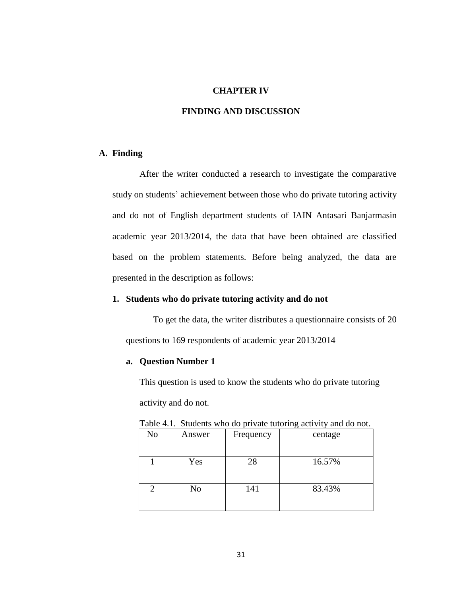#### **CHAPTER IV**

# **FINDING AND DISCUSSION**

#### **A. Finding**

After the writer conducted a research to investigate the comparative study on students' achievement between those who do private tutoring activity and do not of English department students of IAIN Antasari Banjarmasin academic year 2013/2014, the data that have been obtained are classified based on the problem statements. Before being analyzed, the data are presented in the description as follows:

#### **1. Students who do private tutoring activity and do not**

To get the data, the writer distributes a questionnaire consists of 20 questions to 169 respondents of academic year 2013/2014

## **a. Question Number 1**

This question is used to know the students who do private tutoring activity and do not.

|                |        |           | -0      |
|----------------|--------|-----------|---------|
| No             | Answer | Frequency | centage |
|                |        |           |         |
|                |        |           |         |
|                |        |           |         |
|                |        |           |         |
|                | Yes    | 28        | 16.57%  |
|                |        |           |         |
|                |        |           |         |
|                |        |           |         |
|                |        |           |         |
| $\mathfrak{D}$ | No     | 141       | 83.43%  |
|                |        |           |         |
|                |        |           |         |
|                |        |           |         |
|                |        |           |         |

Table 4.1. Students who do private tutoring activity and do not.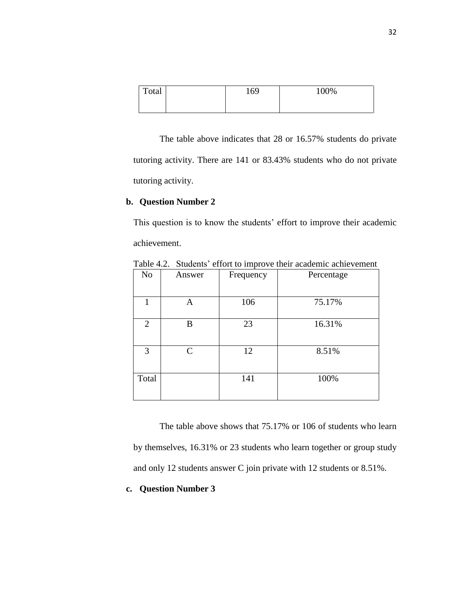| Total | 169 | 100% |
|-------|-----|------|
|       |     |      |

The table above indicates that 28 or 16.57% students do private tutoring activity. There are 141 or 83.43% students who do not private tutoring activity.

#### **b. Question Number 2**

This question is to know the students' effort to improve their academic achievement.

| N <sub>o</sub> | Answer        | Frequency | Percentage |
|----------------|---------------|-----------|------------|
| 1              | Α             | 106       | 75.17%     |
| $\overline{2}$ | B             | 23        | 16.31%     |
| 3              | $\mathcal{C}$ | 12        | 8.51%      |
| Total          |               | 141       | 100%       |

Table 4.2. Students' effort to improve their academic achievement

The table above shows that 75.17% or 106 of students who learn by themselves, 16.31% or 23 students who learn together or group study and only 12 students answer C join private with 12 students or 8.51%.

#### **c. Question Number 3**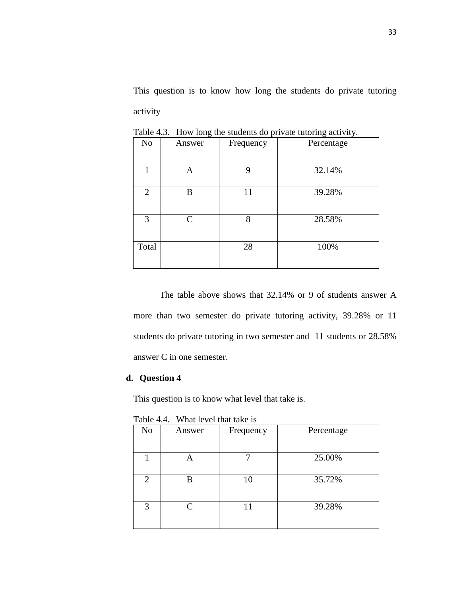This question is to know how long the students do private tutoring activity

| No             | Answer       | Frequency | Percentage |
|----------------|--------------|-----------|------------|
|                |              |           |            |
| 1              | Α            | 9         | 32.14%     |
|                |              |           |            |
| $\overline{2}$ | B            | 11        | 39.28%     |
|                |              |           |            |
| 3              | $\mathsf{C}$ | 8         | 28.58%     |
|                |              |           |            |
| Total          |              | 28        | 100%       |
|                |              |           |            |

Table 4.3. How long the students do private tutoring activity.

The table above shows that 32.14% or 9 of students answer A more than two semester do private tutoring activity, 39.28% or 11 students do private tutoring in two semester and 11 students or 28.58% answer C in one semester.

# **d. Question 4**

This question is to know what level that take is.

| No             | Answer    | Frequency | Percentage |
|----------------|-----------|-----------|------------|
|                |           |           | 25.00%     |
| $\overline{2}$ | B         | 10        | 35.72%     |
| 3              | $\subset$ |           | 39.28%     |

Table 4.4. What level that take is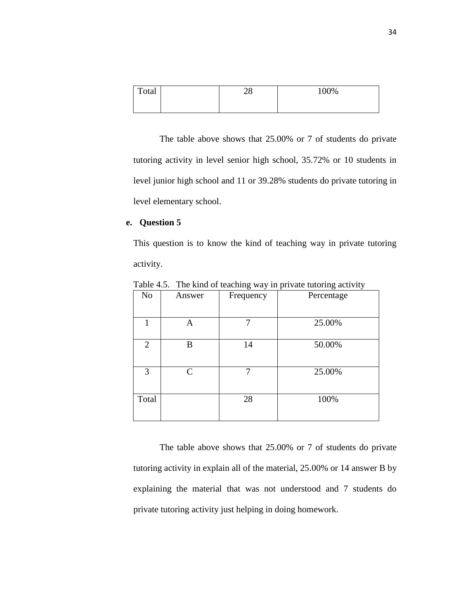| Total | ററ<br>∠∪ | 100% |
|-------|----------|------|
|       |          |      |

The table above shows that 25.00% or 7 of students do private tutoring activity in level senior high school, 35.72% or 10 students in level junior high school and 11 or 39.28% students do private tutoring in level elementary school.

#### **e. Question 5**

This question is to know the kind of teaching way in private tutoring activity.

| N <sub>o</sub> | Answer       | Frequency | Percentage |
|----------------|--------------|-----------|------------|
| 1              | A            | 7         | 25.00%     |
| $\overline{2}$ | B            | 14        | 50.00%     |
| 3              | $\mathsf{C}$ | 7         | 25.00%     |
| Total          |              | 28        | 100%       |

Table 4.5. The kind of teaching way in private tutoring activity

The table above shows that 25.00% or 7 of students do private tutoring activity in explain all of the material, 25.00% or 14 answer B by explaining the material that was not understood and 7 students do private tutoring activity just helping in doing homework.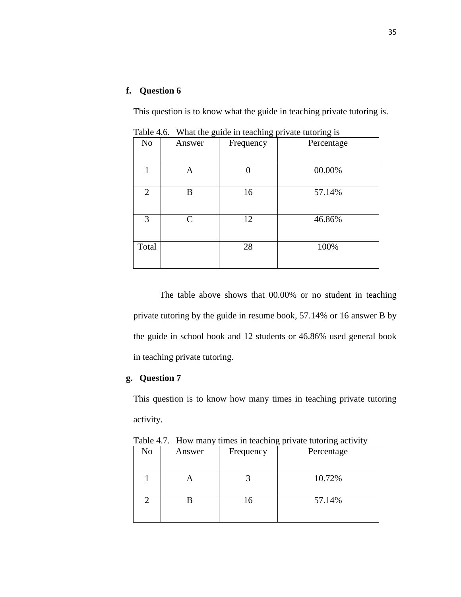# **f. Question 6**

This question is to know what the guide in teaching private tutoring is.

| No             | Answer       | Frequency | Percentage |
|----------------|--------------|-----------|------------|
| 1              | A            |           | 00.00%     |
| $\overline{2}$ | B            | 16        | 57.14%     |
| 3              | $\mathsf{C}$ | 12        | 46.86%     |
| Total          |              | 28        | 100%       |

Table 4.6. What the guide in teaching private tutoring is

The table above shows that 00.00% or no student in teaching private tutoring by the guide in resume book, 57.14% or 16 answer B by the guide in school book and 12 students or 46.86% used general book in teaching private tutoring.

## **g. Question 7**

This question is to know how many times in teaching private tutoring activity.

| No | Answer | Frequency | Percentage |
|----|--------|-----------|------------|
|    |        |           | 10.72%     |
|    |        |           |            |
| 2  |        | 16        | 57.14%     |
|    |        |           |            |

Table 4.7. How many times in teaching private tutoring activity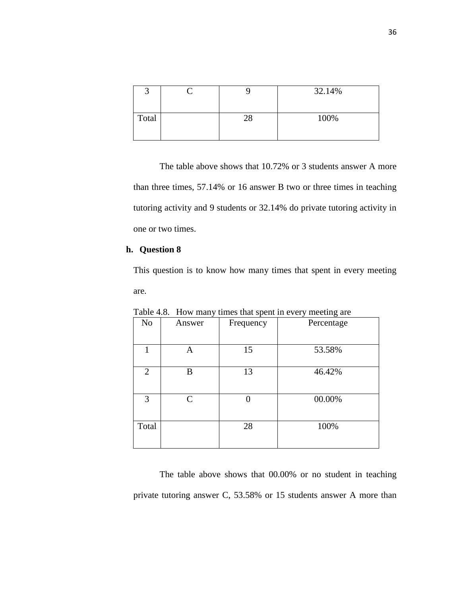|       |    | 32.14% |
|-------|----|--------|
| Total | 28 | 100%   |

The table above shows that 10.72% or 3 students answer A more than three times, 57.14% or 16 answer B two or three times in teaching tutoring activity and 9 students or 32.14% do private tutoring activity in one or two times.

# **h. Question 8**

This question is to know how many times that spent in every meeting are.

| N <sub>o</sub> | Answer | . <b>.</b> .<br>Frequency | ╯<br>$\circ$<br>$\sim$ $\sim$<br>Percentage |
|----------------|--------|---------------------------|---------------------------------------------|
|                |        |                           |                                             |
| 1              | A      | 15                        | 53.58%                                      |
|                |        |                           |                                             |
| $\overline{2}$ | B      | 13                        | 46.42%                                      |
|                |        |                           |                                             |
| 3              | C      | 0                         | 00.00%                                      |
|                |        |                           |                                             |
| Total          |        | 28                        | 100%                                        |
|                |        |                           |                                             |

Table 4.8. How many times that spent in every meeting are

The table above shows that 00.00% or no student in teaching private tutoring answer C, 53.58% or 15 students answer A more than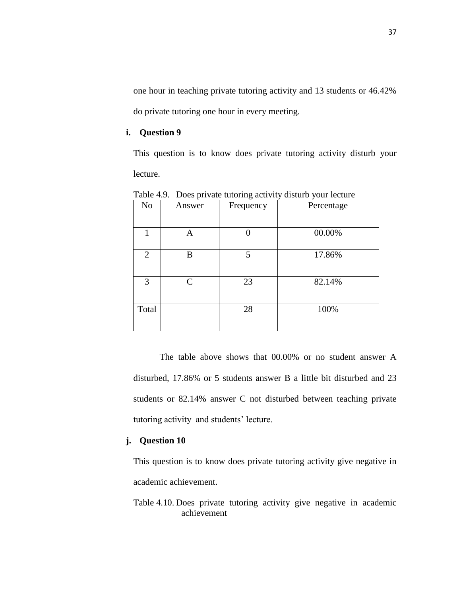one hour in teaching private tutoring activity and 13 students or 46.42% do private tutoring one hour in every meeting.

# **i. Question 9**

This question is to know does private tutoring activity disturb your lecture.

| No             | Answer       | Frequency | Percentage |
|----------------|--------------|-----------|------------|
| 1              | Α            |           | 00.00%     |
| $\overline{2}$ | B            | 5         | 17.86%     |
| 3              | $\mathsf{C}$ | 23        | 82.14%     |
| Total          |              | 28        | 100%       |

Table 4.9. Does private tutoring activity disturb your lecture

The table above shows that 00.00% or no student answer A disturbed, 17.86% or 5 students answer B a little bit disturbed and 23 students or 82.14% answer C not disturbed between teaching private tutoring activity and students' lecture.

# **j. Question 10**

This question is to know does private tutoring activity give negative in academic achievement.

Table 4.10. Does private tutoring activity give negative in academic achievement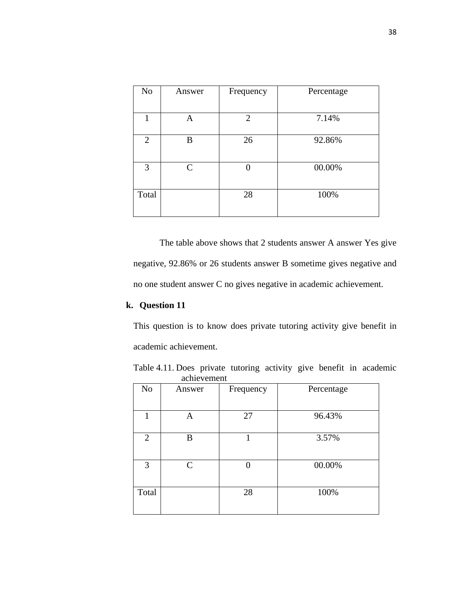| N <sub>o</sub> | Answer        | Frequency | Percentage |
|----------------|---------------|-----------|------------|
|                |               |           |            |
| 1              | A             | 2         | 7.14%      |
|                |               |           |            |
| $\overline{2}$ | B             | 26        | 92.86%     |
|                |               |           |            |
| 3              | $\mathcal{C}$ |           | 00.00%     |
|                |               |           |            |
| Total          |               | 28        | 100%       |
|                |               |           |            |

The table above shows that 2 students answer A answer Yes give negative, 92.86% or 26 students answer B sometime gives negative and no one student answer C no gives negative in academic achievement.

# **k. Question 11**

This question is to know does private tutoring activity give benefit in academic achievement.

Table 4.11. Does private tutoring activity give benefit in academic achievement

| No             | Answer | Frequency         | Percentage |
|----------------|--------|-------------------|------------|
| 1              | Α      | 27                | 96.43%     |
| $\overline{2}$ | B      |                   | 3.57%      |
| 3              | C      | $\mathbf{\Omega}$ | 00.00%     |
| Total          |        | 28                | 100%       |
|                |        |                   |            |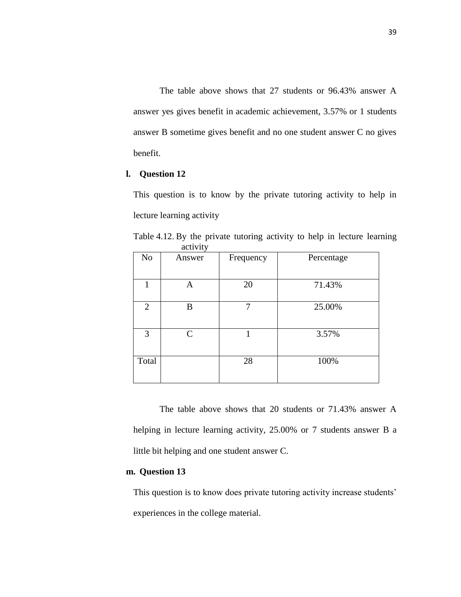The table above shows that 27 students or 96.43% answer A answer yes gives benefit in academic achievement, 3.57% or 1 students answer B sometime gives benefit and no one student answer C no gives benefit.

# **l. Question 12**

This question is to know by the private tutoring activity to help in lecture learning activity

Table 4.12. By the private tutoring activity to help in lecture learning activity

| $u_{\rm{cut}}$ , $u_{\rm{t}}$ |              |           |            |  |
|-------------------------------|--------------|-----------|------------|--|
| No                            | Answer       | Frequency | Percentage |  |
| 1                             | A            | 20        | 71.43%     |  |
| $\overline{2}$                | B            |           | 25.00%     |  |
| 3                             | $\mathsf{C}$ | 1         | 3.57%      |  |
| Total                         |              | 28        | 100%       |  |

The table above shows that 20 students or 71.43% answer A helping in lecture learning activity, 25.00% or 7 students answer B a little bit helping and one student answer C.

#### **m. Question 13**

This question is to know does private tutoring activity increase students' experiences in the college material.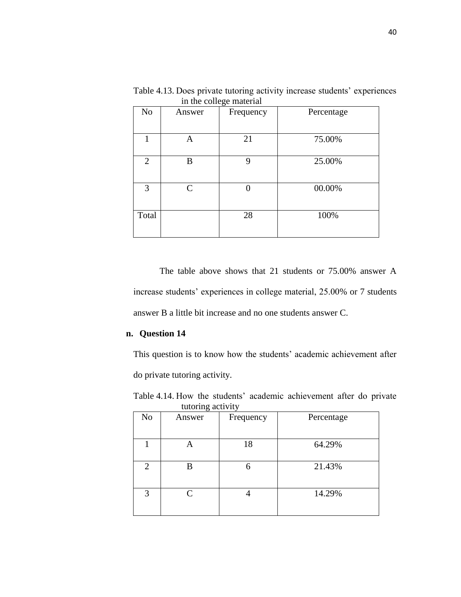| N <sub>o</sub> | Answer       | -0<br>Frequency | Percentage |
|----------------|--------------|-----------------|------------|
|                |              |                 |            |
| 1              | A            | 21              | 75.00%     |
|                |              |                 |            |
| $\overline{2}$ | B            | 9               | 25.00%     |
|                |              |                 |            |
| 3              | $\mathsf{C}$ |                 | 00.00%     |
|                |              |                 |            |
| Total          |              | 28              | 100%       |
|                |              |                 |            |

Table 4.13. Does private tutoring activity increase students' experiences in the college material

The table above shows that 21 students or 75.00% answer A increase students' experiences in college material, 25.00% or 7 students answer B a little bit increase and no one students answer C.

# **n. Question 14**

This question is to know how the students' academic achievement after do private tutoring activity.

|                | tutoring activity |           |            |  |  |
|----------------|-------------------|-----------|------------|--|--|
| No             | Answer            | Frequency | Percentage |  |  |
|                |                   | 18        | 64.29%     |  |  |
| $\overline{2}$ | R                 |           | 21.43%     |  |  |
| 3              | $\subset$         |           | 14.29%     |  |  |

Table 4.14. How the students' academic achievement after do private tutoring activity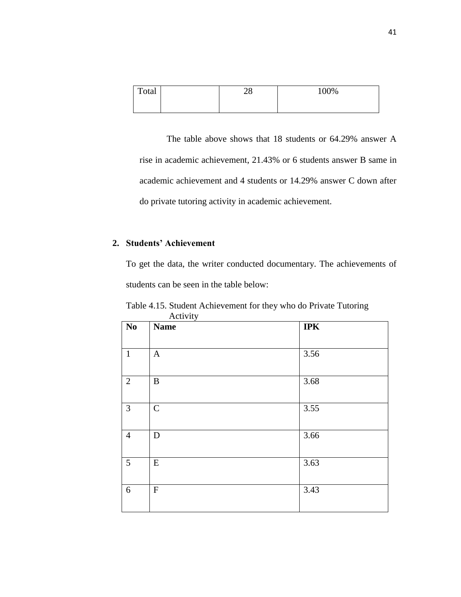| Total | $\mathcal{D}^{\circ}$<br>20 | 100% |
|-------|-----------------------------|------|
|       |                             |      |

The table above shows that 18 students or 64.29% answer A rise in academic achievement, 21.43% or 6 students answer B same in academic achievement and 4 students or 14.29% answer C down after do private tutoring activity in academic achievement.

# **2. Students' Achievement**

To get the data, the writer conducted documentary. The achievements of students can be seen in the table below:

| N <sub>0</sub> | $\cdots$<br><b>Name</b> | <b>IPK</b> |
|----------------|-------------------------|------------|
|                |                         |            |
| $\mathbf{1}$   | $\mathbf{A}$            | 3.56       |
| $\overline{2}$ | $\bf{B}$                | 3.68       |
| $\overline{3}$ | $\overline{C}$          | 3.55       |
| $\overline{4}$ | $\mathbf D$             | 3.66       |
| 5              | ${\bf E}$               | 3.63       |
| $\sqrt{6}$     | ${\bf F}$               | 3.43       |

Table 4.15. Student Achievement for they who do Private Tutoring Activity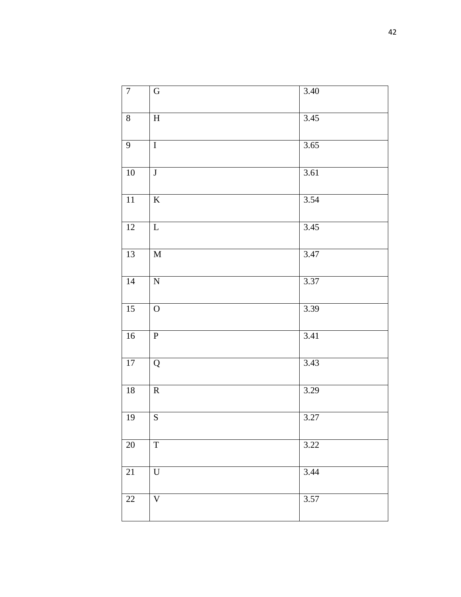| $\overline{7}$  | ${\bf G}$      | 3.40 |
|-----------------|----------------|------|
| $8\,$           | $\, {\rm H}$   | 3.45 |
| $\mathbf{9}$    | $\bf I$        | 3.65 |
| $10\,$          | $\bf J$        | 3.61 |
| 11              | $\bf K$        | 3.54 |
| 12              | $\mathbf L$    | 3.45 |
| 13              | $\mathbf M$    | 3.47 |
| 14              | ${\bf N}$      | 3.37 |
| $\overline{15}$ | $\mathbf{O}$   | 3.39 |
| 16              | $\, {\bf P}$   | 3.41 |
| 17              | Q              | 3.43 |
| $18\,$          | ${\bf R}$      | 3.29 |
| 19              | ${\bf S}$      | 3.27 |
| $20\,$          | $\overline{T}$ | 3.22 |
| $21\,$          | $\mathbf U$    | 3.44 |
| $22\,$          | $\overline{V}$ | 3.57 |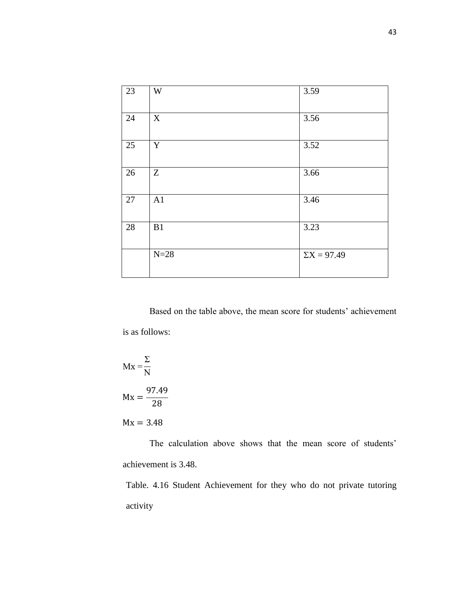| 23 | W           | 3.59               |
|----|-------------|--------------------|
| 24 | $\mathbf X$ | 3.56               |
| 25 | $\mathbf Y$ | 3.52               |
| 26 | Z           | 3.66               |
| 27 | A1          | 3.46               |
| 28 | B1          | 3.23               |
|    | $N=28$      | $\Sigma X = 97.49$ |

Based on the table above, the mean score for students' achievement is as follows:

$$
Mx = \frac{\Sigma}{N}
$$

$$
Mx = \frac{97.49}{28}
$$

 $Mx = 3.48$ 

The calculation above shows that the mean score of students' achievement is 3.48.

Table. 4.16 Student Achievement for they who do not private tutoring activity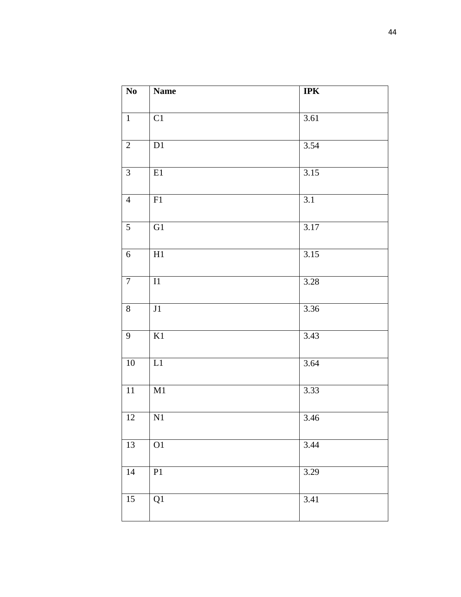| No              | <b>Name</b>                                                                | <b>IPK</b> |
|-----------------|----------------------------------------------------------------------------|------------|
|                 |                                                                            |            |
| $\mathbf{1}$    | C1                                                                         | 3.61       |
|                 |                                                                            |            |
| $\sqrt{2}$      | $\overline{\rm D1}$                                                        | 3.54       |
|                 |                                                                            |            |
| $\mathfrak{Z}$  | $\rm E1$                                                                   | 3.15       |
|                 |                                                                            |            |
| $\overline{4}$  | F1                                                                         | 3.1        |
|                 |                                                                            |            |
| $\sqrt{5}$      | ${\overline{{\rm G1}}}$                                                    | 3.17       |
|                 |                                                                            |            |
| $\sqrt{6}$      | H1                                                                         | 3.15       |
| $\overline{7}$  | $\ensuremath{\operatorname{I}}\xspace\ensuremath{\operatorname{1}}\xspace$ |            |
|                 |                                                                            | 3.28       |
| $8\,$           | J1                                                                         | 3.36       |
|                 |                                                                            |            |
| 9               | $\rm K1$                                                                   | 3.43       |
|                 |                                                                            |            |
| 10              | $\overline{L1}$                                                            | 3.64       |
|                 |                                                                            |            |
| 11              | $\mathbf{M}1$                                                              | 3.33       |
|                 |                                                                            |            |
| $\overline{12}$ | $\overline{N1}$                                                            | 3.46       |
|                 |                                                                            |            |
| 13              | O <sub>1</sub>                                                             | 3.44       |
|                 |                                                                            |            |
| 14              | P1                                                                         | 3.29       |
|                 |                                                                            |            |
| 15              | Q1                                                                         | 3.41       |
|                 |                                                                            |            |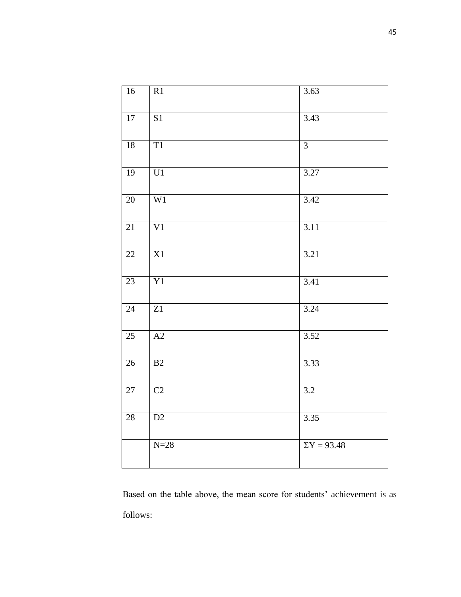| 16              | R1              | 3.63               |
|-----------------|-----------------|--------------------|
| 17              | S <sub>1</sub>  | 3.43               |
| 18              | $\overline{T1}$ | $\overline{3}$     |
| 19              | U1              | 3.27               |
| $20\,$          | W1              | 3.42               |
| 21              | V <sub>1</sub>  | 3.11               |
| $\overline{22}$ | $\overline{X}$  | 3.21               |
| 23              | Y1              | 3.41               |
| 24              | Z1              | 3.24               |
| 25              | A2              | 3.52               |
| $\overline{26}$ | B2              | 3.33               |
| 27              | $\overline{C2}$ | 3.2                |
| $28\,$          | $\mathbf{D}2$   | 3.35               |
|                 | $N=28$          | $\Sigma$ Y = 93.48 |

Based on the table above, the mean score for students' achievement is as follows: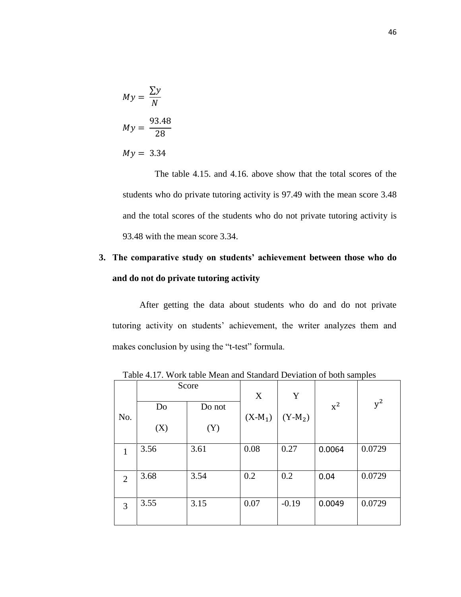$$
My = \frac{\sum y}{N}
$$

$$
My = \frac{93.48}{28}
$$

$$
My = 3.34
$$

The table 4.15. and 4.16. above show that the total scores of the students who do private tutoring activity is 97.49 with the mean score 3.48 and the total scores of the students who do not private tutoring activity is 93.48 with the mean score 3.34.

# **3. The comparative study on students' achievement between those who do and do not do private tutoring activity**

After getting the data about students who do and do not private tutoring activity on students' achievement, the writer analyzes them and makes conclusion by using the "t-test" formula.

|                | Score |        | X         | Y         |        |        |
|----------------|-------|--------|-----------|-----------|--------|--------|
| No.            | Do    | Do not | $(X-M_1)$ | $(Y-M_2)$ | $x^2$  | $y^2$  |
|                | (X)   | (Y)    |           |           |        |        |
| $\mathbf{1}$   | 3.56  | 3.61   | 0.08      | 0.27      | 0.0064 | 0.0729 |
| 2              | 3.68  | 3.54   | 0.2       | 0.2       | 0.04   | 0.0729 |
| $\overline{3}$ | 3.55  | 3.15   | 0.07      | $-0.19$   | 0.0049 | 0.0729 |

Table 4.17. Work table Mean and Standard Deviation of both samples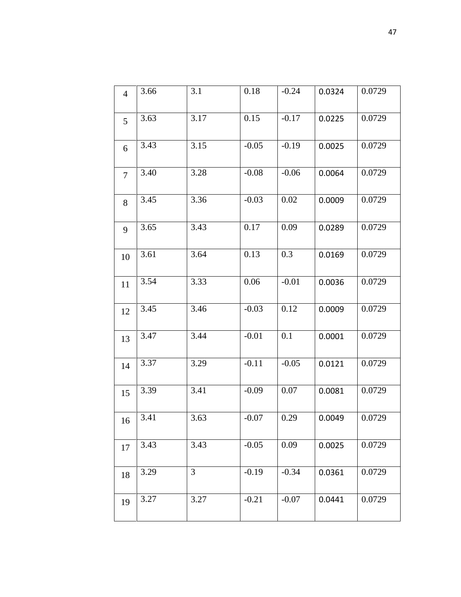| $\overline{4}$ | 3.66 | 3.1            | 0.18    | $-0.24$  | 0.0324 | 0.0729 |
|----------------|------|----------------|---------|----------|--------|--------|
| 5              | 3.63 | 3.17           | 0.15    | $-0.17$  | 0.0225 | 0.0729 |
| 6              | 3.43 | 3.15           | $-0.05$ | $-0.19$  | 0.0025 | 0.0729 |
| $\overline{7}$ | 3.40 | 3.28           | $-0.08$ | $-0.06$  | 0.0064 | 0.0729 |
| 8              | 3.45 | 3.36           | $-0.03$ | 0.02     | 0.0009 | 0.0729 |
| 9              | 3.65 | 3.43           | 0.17    | 0.09     | 0.0289 | 0.0729 |
| 10             | 3.61 | 3.64           | 0.13    | 0.3      | 0.0169 | 0.0729 |
| 11             | 3.54 | 3.33           | 0.06    | $-0.01$  | 0.0036 | 0.0729 |
| 12             | 3.45 | 3.46           | $-0.03$ | 0.12     | 0.0009 | 0.0729 |
| 13             | 3.47 | 3.44           | $-0.01$ | 0.1      | 0.0001 | 0.0729 |
| 14             | 3.37 | 3.29           | $-0.11$ | $-0.05$  | 0.0121 | 0.0729 |
| 15             | 3.39 | 3.41           | $-0.09$ | $0.07\,$ | 0.0081 | 0.0729 |
| 16             | 3.41 | 3.63           | $-0.07$ | 0.29     | 0.0049 | 0.0729 |
| 17             | 3.43 | 3.43           | $-0.05$ | 0.09     | 0.0025 | 0.0729 |
| 18             | 3.29 | $\overline{3}$ | $-0.19$ | $-0.34$  | 0.0361 | 0.0729 |
| 19             | 3.27 | 3.27           | $-0.21$ | $-0.07$  | 0.0441 | 0.0729 |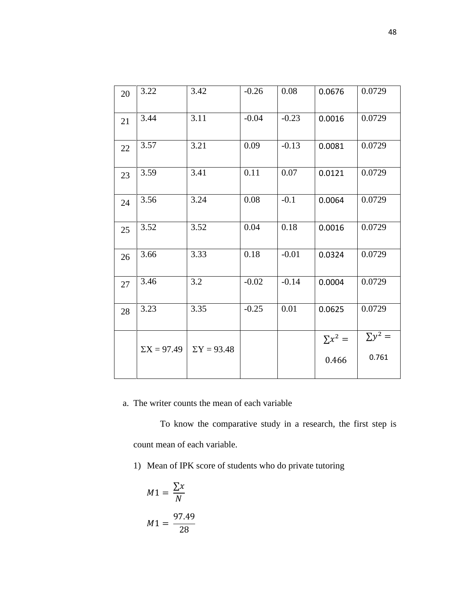| 20 | 3.22               | 3.42               | $-0.26$ | 0.08    | 0.0676         | 0.0729         |
|----|--------------------|--------------------|---------|---------|----------------|----------------|
| 21 | 3.44               | 3.11               | $-0.04$ | $-0.23$ | 0.0016         | 0.0729         |
| 22 | 3.57               | 3.21               | 0.09    | $-0.13$ | 0.0081         | 0.0729         |
| 23 | 3.59               | 3.41               | 0.11    | 0.07    | 0.0121         | 0.0729         |
| 24 | 3.56               | 3.24               | 0.08    | $-0.1$  | 0.0064         | 0.0729         |
| 25 | 3.52               | 3.52               | 0.04    | 0.18    | 0.0016         | 0.0729         |
| 26 | 3.66               | 3.33               | 0.18    | $-0.01$ | 0.0324         | 0.0729         |
| 27 | 3.46               | 3.2                | $-0.02$ | $-0.14$ | 0.0004         | 0.0729         |
| 28 | 3.23               | 3.35               | $-0.25$ | 0.01    | 0.0625         | 0.0729         |
|    | $\Sigma X = 97.49$ | $\Sigma$ Y = 93.48 |         |         | $\Sigma x^2 =$ | $\Sigma y^2 =$ |
|    |                    |                    |         |         | 0.466          | 0.761          |

a. The writer counts the mean of each variable

To know the comparative study in a research, the first step is count mean of each variable.

1) Mean of IPK score of students who do private tutoring

$$
M1 = \frac{\sum x}{N}
$$

$$
M1 = \frac{97.49}{28}
$$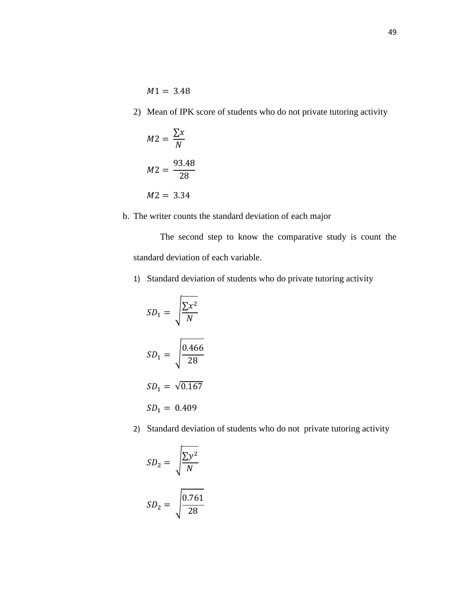$$
M1 = 3.48
$$

2) Mean of IPK score of students who do not private tutoring activity

$$
M2 = \frac{\sum x}{N}
$$

$$
M2 = \frac{93.48}{28}
$$

$$
M2 = 3.34
$$

b. The writer counts the standard deviation of each major

The second step to know the comparative study is count the standard deviation of each variable.

1) Standard deviation of students who do private tutoring activity

$$
SD_1 = \sqrt{\frac{\sum x^2}{N}}
$$

$$
SD_1 = \sqrt{\frac{0.466}{28}}
$$

$$
SD_1 = \sqrt{0.167}
$$

$$
SD_1 = 0.409
$$

2) Standard deviation of students who do not private tutoring activity

$$
SD_2 = \sqrt{\frac{\sum y^2}{N}}
$$

$$
SD_2 = \sqrt{\frac{0.761}{28}}
$$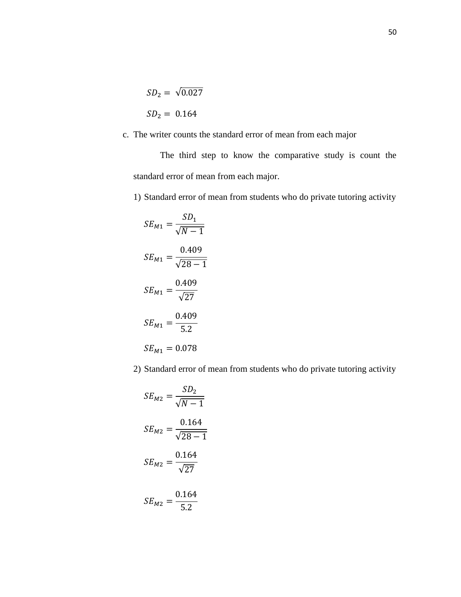$$
SD2 = \sqrt{0.027}
$$

$$
SD2 = 0.164
$$

c. The writer counts the standard error of mean from each major

The third step to know the comparative study is count the standard error of mean from each major.

1) Standard error of mean from students who do private tutoring activity

$$
SE_{M1} = \frac{SD_1}{\sqrt{N - 1}}
$$

$$
SE_{M1} = \frac{0.409}{\sqrt{28 - 1}}
$$

$$
SE_{M1} = \frac{0.409}{\sqrt{27}}
$$

$$
SE_{M1} = \frac{0.409}{5.2}
$$

$$
SE_{M1} = 0.078
$$

2) Standard error of mean from students who do private tutoring activity

$$
SE_{M2} = \frac{SD_2}{\sqrt{N - 1}}
$$

$$
SE_{M2} = \frac{0.164}{\sqrt{28 - 1}}
$$

$$
SE_{M2} = \frac{0.164}{\sqrt{27}}
$$

$$
SE_{M2} = \frac{0.164}{5.2}
$$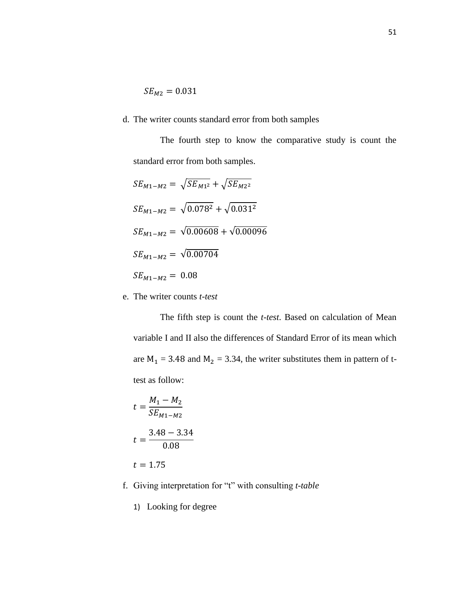$$
SE_{M2} = 0.031
$$

#### d. The writer counts standard error from both samples

The fourth step to know the comparative study is count the standard error from both samples.

$$
SE_{M1-M2} = \sqrt{SE_{M12}} + \sqrt{SE_{M22}}
$$
  
\n
$$
SE_{M1-M2} = \sqrt{0.078^2} + \sqrt{0.031^2}
$$
  
\n
$$
SE_{M1-M2} = \sqrt{0.00608} + \sqrt{0.00096}
$$
  
\n
$$
SE_{M1-M2} = \sqrt{0.00704}
$$
  
\n
$$
SE_{M1-M2} = 0.08
$$

e. The writer counts *t-test*

The fifth step is count the *t-test*. Based on calculation of Mean variable I and II also the differences of Standard Error of its mean which are  $M_1 = 3.48$  and  $M_2 = 3.34$ , the writer substitutes them in pattern of ttest as follow:

$$
t = \frac{M_1 - M_2}{SE_{M1 - M2}}
$$

$$
t = \frac{3.48 - 3.34}{0.08}
$$

$$
t = 1.75
$$

- f. Giving interpretation for "t" with consulting *t-table*
	- 1) Looking for degree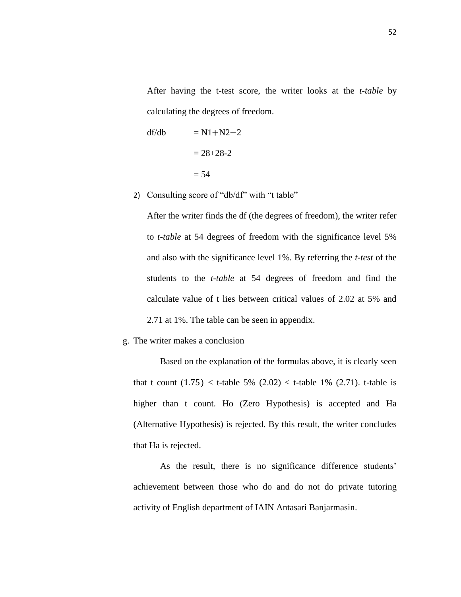After having the t-test score, the writer looks at the *t-table* by calculating the degrees of freedom.

$$
df/db = NI + N2 - 2
$$

$$
= 28 + 28 - 2
$$

$$
= 54
$$

2) Consulting score of "db/df" with "t table"

After the writer finds the df (the degrees of freedom), the writer refer to *t-table* at 54 degrees of freedom with the significance level 5% and also with the significance level 1%. By referring the *t-test* of the students to the *t-table* at 54 degrees of freedom and find the calculate value of t lies between critical values of 2.02 at 5% and 2.71 at 1%. The table can be seen in appendix.

g. The writer makes a conclusion

Based on the explanation of the formulas above, it is clearly seen that t count  $(1.75)$  < t-table 5%  $(2.02)$  < t-table 1%  $(2.71)$ . t-table is higher than t count. Ho (Zero Hypothesis) is accepted and Ha (Alternative Hypothesis) is rejected. By this result, the writer concludes that Ha is rejected.

As the result, there is no significance difference students' achievement between those who do and do not do private tutoring activity of English department of IAIN Antasari Banjarmasin.